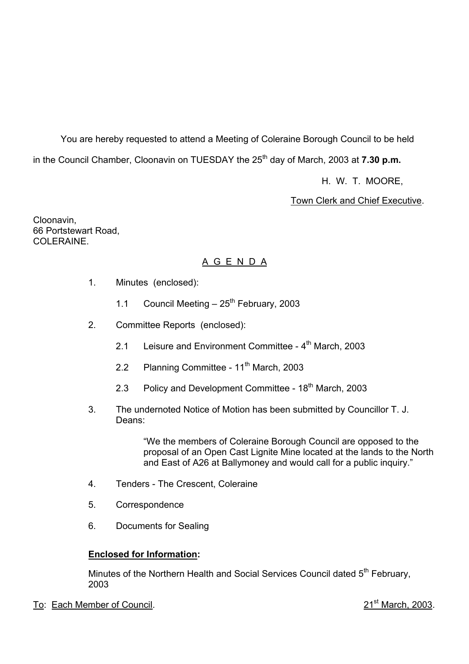You are hereby requested to attend a Meeting of Coleraine Borough Council to be held in the Council Chamber, Cloonavin on TUESDAY the 25<sup>th</sup> day of March, 2003 at **7.30 p.m.** 

H. W. T. MOORE,

Town Clerk and Chief Executive.

Cloonavin, 66 Portstewart Road, COLERAINE.

# A G E N D A

- 1. Minutes (enclosed):
	- 1.1 Council Meeting  $-25^{th}$  February, 2003
- 2. Committee Reports (enclosed):
	- 2.1 Leisure and Environment Committee  $4<sup>th</sup>$  March, 2003
	- 2.2 Planning Committee 11<sup>th</sup> March, 2003
	- 2.3 Policy and Development Committee  $18<sup>th</sup>$  March, 2003
- 3. The undernoted Notice of Motion has been submitted by Councillor T. J. Deans:

"We the members of Coleraine Borough Council are opposed to the proposal of an Open Cast Lignite Mine located at the lands to the North and East of A26 at Ballymoney and would call for a public inquiry."

- 4. Tenders The Crescent, Coleraine
- 5. Correspondence
- 6. Documents for Sealing

#### **Enclosed for Information:**

Minutes of the Northern Health and Social Services Council dated 5<sup>th</sup> February, 2003

To: Each Member of Council. 2003.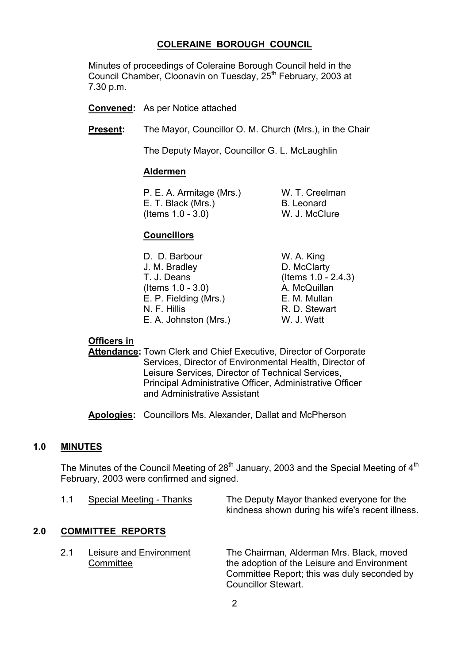# **COLERAINE BOROUGH COUNCIL**

 Minutes of proceedings of Coleraine Borough Council held in the Council Chamber, Cloonavin on Tuesday, 25<sup>th</sup> February, 2003 at 7.30 p.m.

**Convened:** As per Notice attached

**Present:** The Mayor, Councillor O. M. Church (Mrs.), in the Chair

The Deputy Mayor, Councillor G. L. McLaughlin

#### **Aldermen**

 P. E. A. Armitage (Mrs.) W. T. Creelman E. T. Black (Mrs.) B. Leonard (Items 1.0 - 3.0) W. J. McClure

#### **Councillors**

| D. D. Barbour         | W. A. King             |
|-----------------------|------------------------|
| J. M. Bradley         | D. McClarty            |
| T. J. Deans           | (Items $1.0 - 2.4.3$ ) |
| (Items $1.0 - 3.0$ )  | A. McQuillan           |
| E. P. Fielding (Mrs.) | E. M. Mullan           |
| N. F. Hillis          | R. D. Stewart          |
| E. A. Johnston (Mrs.) | W. J. Watt             |

#### **Officers in**

 **Attendance:** Town Clerk and Chief Executive, Director of Corporate Services, Director of Environmental Health, Director of Leisure Services, Director of Technical Services, Principal Administrative Officer, Administrative Officer and Administrative Assistant

**Apologies:** Councillors Ms. Alexander, Dallat and McPherson

#### **1.0 MINUTES**

The Minutes of the Council Meeting of  $28<sup>th</sup>$  January, 2003 and the Special Meeting of  $4<sup>th</sup>$ February, 2003 were confirmed and signed.

| Special Meeting - Thanks | The Deputy Mayor thanked everyone for the        |
|--------------------------|--------------------------------------------------|
|                          | kindness shown during his wife's recent illness. |

# **2.0 COMMITTEE REPORTS**

 2.1 Leisure and Environment The Chairman, Alderman Mrs. Black, moved Committee **the adoption of the Leisure and Environment**  Committee Report; this was duly seconded by Councillor Stewart.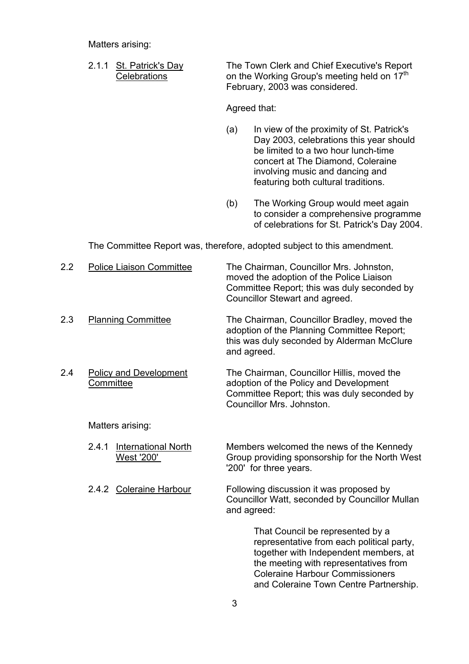Matters arising:

 2.1.1 St. Patrick's Day The Town Clerk and Chief Executive's Report Celebrations on the Working Group's meeting held on 17<sup>th</sup> February, 2003 was considered.

Agreed that:

- (a) In view of the proximity of St. Patrick's Day 2003, celebrations this year should be limited to a two hour lunch-time concert at The Diamond, Coleraine involving music and dancing and featuring both cultural traditions.
- (b) The Working Group would meet again to consider a comprehensive programme of celebrations for St. Patrick's Day 2004.

The Committee Report was, therefore, adopted subject to this amendment.

| $2.2\phantom{0}$ | <b>Police Liaison Committee</b>                   | The Chairman, Councillor Mrs. Johnston,<br>moved the adoption of the Police Liaison<br>Committee Report; this was duly seconded by<br>Councillor Stewart and agreed. |
|------------------|---------------------------------------------------|----------------------------------------------------------------------------------------------------------------------------------------------------------------------|
| 2.3              | <b>Planning Committee</b>                         | The Chairman, Councillor Bradley, moved the<br>adoption of the Planning Committee Report;<br>this was duly seconded by Alderman McClure<br>and agreed.               |
| 2.4              | <b>Policy and Development</b><br>Committee        | The Chairman, Councillor Hillis, moved the<br>adoption of the Policy and Development<br>Committee Report; this was duly seconded by<br>Councillor Mrs. Johnston.     |
|                  | Matters arising:                                  |                                                                                                                                                                      |
|                  | <b>International North</b><br>2.4.1<br>West '200' | Members welcomed the news of the Kennedy<br>Group providing sponsorship for the North West<br>'200' for three years.                                                 |

2.4.2 Coleraine Harbour Following discussion it was proposed by Councillor Watt, seconded by Councillor Mullan and agreed:

> That Council be represented by a representative from each political party, together with Independent members, at the meeting with representatives from Coleraine Harbour Commissioners and Coleraine Town Centre Partnership.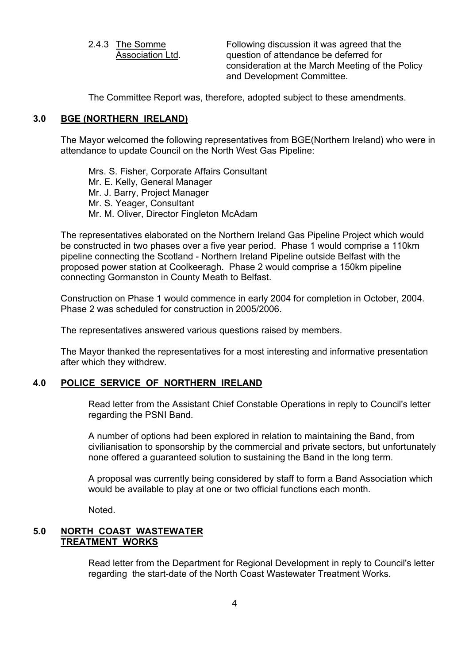2.4.3 The Somme Following discussion it was agreed that the Association Ltd. question of attendance be deferred for consideration at the March Meeting of the Policy and Development Committee.

The Committee Report was, therefore, adopted subject to these amendments.

#### **3.0 BGE (NORTHERN IRELAND)**

The Mayor welcomed the following representatives from BGE(Northern Ireland) who were in attendance to update Council on the North West Gas Pipeline:

 Mrs. S. Fisher, Corporate Affairs Consultant Mr. E. Kelly, General Manager Mr. J. Barry, Project Manager Mr. S. Yeager, Consultant Mr. M. Oliver, Director Fingleton McAdam

The representatives elaborated on the Northern Ireland Gas Pipeline Project which would be constructed in two phases over a five year period. Phase 1 would comprise a 110km pipeline connecting the Scotland - Northern Ireland Pipeline outside Belfast with the proposed power station at Coolkeeragh. Phase 2 would comprise a 150km pipeline connecting Gormanston in County Meath to Belfast.

Construction on Phase 1 would commence in early 2004 for completion in October, 2004. Phase 2 was scheduled for construction in 2005/2006.

The representatives answered various questions raised by members.

The Mayor thanked the representatives for a most interesting and informative presentation after which they withdrew.

#### **4.0 POLICE SERVICE OF NORTHERN IRELAND**

 Read letter from the Assistant Chief Constable Operations in reply to Council's letter regarding the PSNI Band.

 A number of options had been explored in relation to maintaining the Band, from civilianisation to sponsorship by the commercial and private sectors, but unfortunately none offered a guaranteed solution to sustaining the Band in the long term.

 A proposal was currently being considered by staff to form a Band Association which would be available to play at one or two official functions each month.

Noted.

# **5.0 NORTH COAST WASTEWATER TREATMENT WORKS**

Read letter from the Department for Regional Development in reply to Council's letter regarding the start-date of the North Coast Wastewater Treatment Works.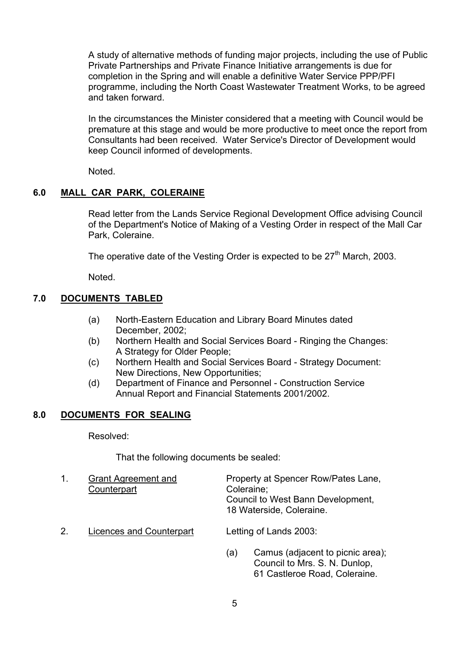A study of alternative methods of funding major projects, including the use of Public Private Partnerships and Private Finance Initiative arrangements is due for completion in the Spring and will enable a definitive Water Service PPP/PFI programme, including the North Coast Wastewater Treatment Works, to be agreed and taken forward.

In the circumstances the Minister considered that a meeting with Council would be premature at this stage and would be more productive to meet once the report from Consultants had been received. Water Service's Director of Development would keep Council informed of developments.

Noted.

# **6.0 MALL CAR PARK, COLERAINE**

 Read letter from the Lands Service Regional Development Office advising Council of the Department's Notice of Making of a Vesting Order in respect of the Mall Car Park, Coleraine.

The operative date of the Vesting Order is expected to be  $27<sup>th</sup>$  March, 2003.

Noted.

# **7.0 DOCUMENTS TABLED**

- (a) North-Eastern Education and Library Board Minutes dated December, 2002;
- (b) Northern Health and Social Services Board Ringing the Changes: A Strategy for Older People;
- (c) Northern Health and Social Services Board Strategy Document: New Directions, New Opportunities;
- (d) Department of Finance and Personnel Construction Service Annual Report and Financial Statements 2001/2002.

# **8.0 DOCUMENTS FOR SEALING**

Resolved:

That the following documents be sealed:

| 1. | <b>Grant Agreement and</b><br>Counterpart | Property at Spencer Row/Pates Lane,<br>Coleraine;<br>Council to West Bann Development,<br>18 Waterside, Coleraine. |
|----|-------------------------------------------|--------------------------------------------------------------------------------------------------------------------|
| 2. | Licences and Counterpart                  | Letting of Lands 2003:                                                                                             |
|    |                                           | Camus (adjacent to picnic area);<br>(a)<br>Council to Mrs. S. N. Dunlop,<br>61 Castleroe Road, Coleraine.          |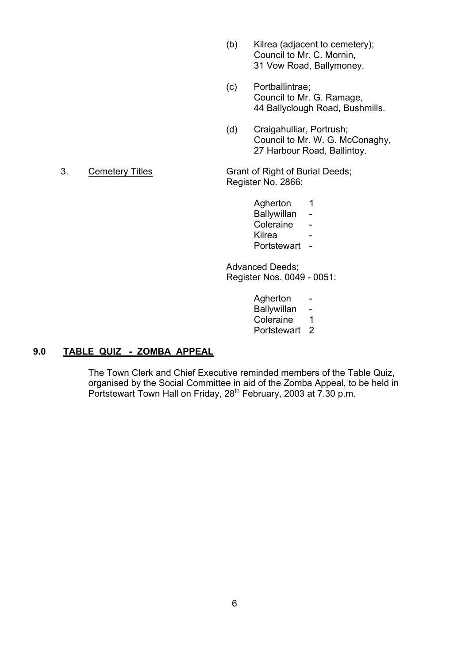- (b) Kilrea (adjacent to cemetery); Council to Mr. C. Mornin, 31 Vow Road, Ballymoney.
- (c) Portballintrae; Council to Mr. G. Ramage, 44 Ballyclough Road, Bushmills.
- (d) Craigahulliar, Portrush; Council to Mr. W. G. McConaghy, 27 Harbour Road, Ballintoy.

Register No. 2866:

Agherton 1 Ballywillan - Coleraine - <u>Kilrea dhexe a shekara ta 1979, a shekara ta 1979, a shekara ta 1971, a shekara ta 1971, a shekara ta 1971, a sh</u> Portstewart -

> Advanced Deeds; Register Nos. 0049 - 0051:

- Agherton Ballywillan -Coleraine 1
- Portstewart 2
- **9.0 TABLE QUIZ ZOMBA APPEAL**

The Town Clerk and Chief Executive reminded members of the Table Quiz, organised by the Social Committee in aid of the Zomba Appeal, to be held in Portstewart Town Hall on Friday, 28<sup>th</sup> February, 2003 at 7.30 p.m.

3. Cemetery Titles Grant of Right of Burial Deeds;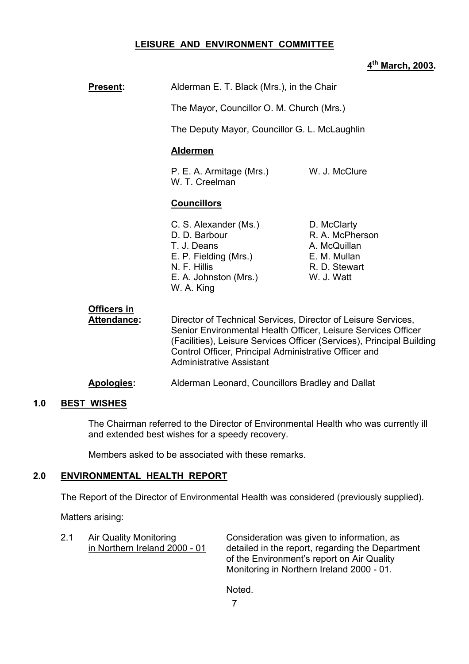# **LEISURE AND ENVIRONMENT COMMITTEE**

# **4th March, 2003.**

| <b>Present:</b>                   | Alderman E. T. Black (Mrs.), in the Chair                                                                                                                                                          |                                                                                               |
|-----------------------------------|----------------------------------------------------------------------------------------------------------------------------------------------------------------------------------------------------|-----------------------------------------------------------------------------------------------|
|                                   | The Mayor, Councillor O. M. Church (Mrs.)                                                                                                                                                          |                                                                                               |
|                                   | The Deputy Mayor, Councillor G. L. McLaughlin                                                                                                                                                      |                                                                                               |
|                                   | <b>Aldermen</b>                                                                                                                                                                                    |                                                                                               |
|                                   | P. E. A. Armitage (Mrs.)<br>W. T. Creelman                                                                                                                                                         | W. J. McClure                                                                                 |
|                                   | <b>Councillors</b>                                                                                                                                                                                 |                                                                                               |
|                                   | C. S. Alexander (Ms.)<br>D. D. Barbour<br>T. J. Deans<br>E. P. Fielding (Mrs.)<br>N. F. Hillis<br>E. A. Johnston (Mrs.)<br>W. A. King                                                              | D. McClarty<br>R. A. McPherson<br>A. McQuillan<br>E. M. Mullan<br>R. D. Stewart<br>W. J. Watt |
| Officers in<br><b>Attendance:</b> | Director of Technical Services, Director of Leisure Services,<br>Senior Environmental Health Officer, Leisure Services Office<br>(Facilities)   eisure Services Officer (Services)   Princinal Rui |                                                                                               |

Senior Environmental Health Officer, Leisure Services Officer (Facilities), Leisure Services Officer (Services), Principal Building Control Officer, Principal Administrative Officer and Administrative Assistant

#### **Apologies:** Alderman Leonard, Councillors Bradley and Dallat

#### **1.0 BEST WISHES**

The Chairman referred to the Director of Environmental Health who was currently ill and extended best wishes for a speedy recovery.

Members asked to be associated with these remarks.

#### **2.0 ENVIRONMENTAL HEALTH REPORT**

The Report of the Director of Environmental Health was considered (previously supplied).

Matters arising:

2.1 Air Quality Monitoring Consideration was given to information, as in Northern Ireland 2000 - 01 detailed in the report, regarding the Department of the Environment's report on Air Quality Monitoring in Northern Ireland 2000 - 01.

Noted.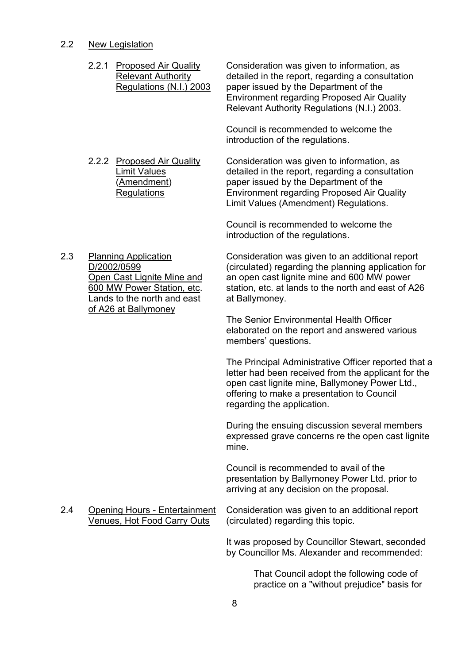#### 2.2 New Legislation

- 2.2.1 Proposed Air Quality Consideration was given to information, as Relevant Authority detailed in the report, regarding a consultation Regulations (N.I.) 2003 paper issued by the Department of the Environment regarding Proposed Air Quality Relevant Authority Regulations (N.I.) 2003. Council is recommended to welcome the introduction of the regulations.
- 

 2.2.2 Proposed Air Quality Consideration was given to information, as Limit Values detailed in the report, regarding a consultation (Amendment) paper issued by the Department of the Regulations Environment regarding Proposed Air Quality Limit Values (Amendment) Regulations.

> Council is recommended to welcome the introduction of the regulations.

Lands to the north and east at Ballymoney. of A26 at Ballymoney

 2.3 Planning Application Consideration was given to an additional report D/2002/0599 (circulated) regarding the planning application for Open Cast Lignite Mine and an open cast lignite mine and 600 MW power 600 MW Power Station, etc. station, etc. at lands to the north and east of A26

> The Senior Environmental Health Officer elaborated on the report and answered various members' questions.

The Principal Administrative Officer reported that a letter had been received from the applicant for the open cast lignite mine, Ballymoney Power Ltd., offering to make a presentation to Council regarding the application.

During the ensuing discussion several members expressed grave concerns re the open cast lignite mine.

Council is recommended to avail of the presentation by Ballymoney Power Ltd. prior to arriving at any decision on the proposal.

Venues, Hot Food Carry Outs (circulated) regarding this topic.

2.4 Opening Hours - Entertainment Consideration was given to an additional report

It was proposed by Councillor Stewart, seconded by Councillor Ms. Alexander and recommended:

> That Council adopt the following code of practice on a "without prejudice" basis for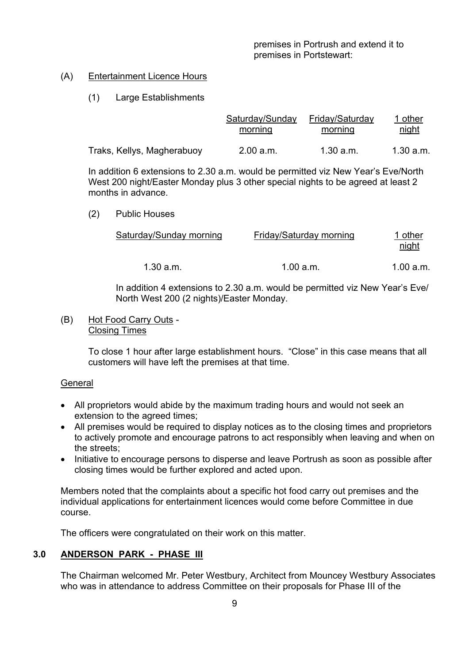# (A) Entertainment Licence Hours

# (1) Large Establishments

|                            | Saturday/Sunday | Friday/Saturday | I other   |
|----------------------------|-----------------|-----------------|-----------|
|                            | morning         | morning         | night     |
| Traks, Kellys, Magherabuoy | 2.00 a.m.       | 1.30 a.m.       | 1.30 a.m. |

In addition 6 extensions to 2.30 a.m. would be permitted viz New Year's Eve/North West 200 night/Easter Monday plus 3 other special nights to be agreed at least 2 months in advance.

(2) Public Houses

|           | Saturday/Sunday morning | Friday/Saturday morning | <u>I other</u><br>night |
|-----------|-------------------------|-------------------------|-------------------------|
| 1.30 a.m. |                         | 1.00 a.m.               | 1.00 a.m.               |

In addition 4 extensions to 2.30 a.m. would be permitted viz New Year's Eve/ North West 200 (2 nights)/Easter Monday.

#### (B) Hot Food Carry Outs - Closing Times

To close 1 hour after large establishment hours. "Close" in this case means that all customers will have left the premises at that time.

#### **General**

- All proprietors would abide by the maximum trading hours and would not seek an extension to the agreed times;
- All premises would be required to display notices as to the closing times and proprietors to actively promote and encourage patrons to act responsibly when leaving and when on the streets;
- Initiative to encourage persons to disperse and leave Portrush as soon as possible after closing times would be further explored and acted upon.

Members noted that the complaints about a specific hot food carry out premises and the individual applications for entertainment licences would come before Committee in due course.

The officers were congratulated on their work on this matter.

# **3.0 ANDERSON PARK - PHASE III**

The Chairman welcomed Mr. Peter Westbury, Architect from Mouncey Westbury Associates who was in attendance to address Committee on their proposals for Phase III of the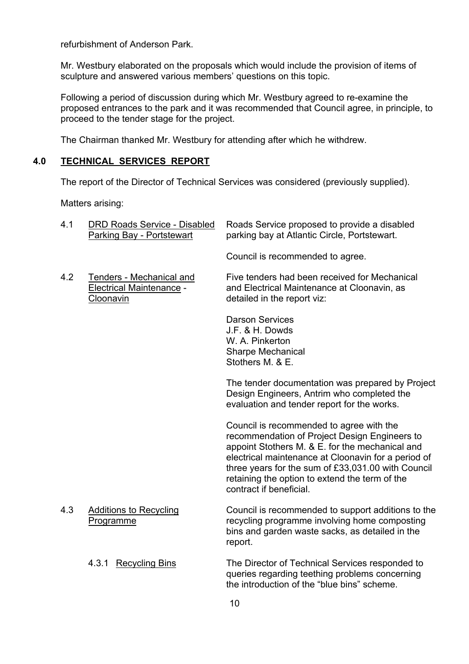refurbishment of Anderson Park.

Mr. Westbury elaborated on the proposals which would include the provision of items of sculpture and answered various members' questions on this topic.

Following a period of discussion during which Mr. Westbury agreed to re-examine the proposed entrances to the park and it was recommended that Council agree, in principle, to proceed to the tender stage for the project.

The Chairman thanked Mr. Westbury for attending after which he withdrew.

# **4.0 TECHNICAL SERVICES REPORT**

The report of the Director of Technical Services was considered (previously supplied).

Matters arising:

| 4.1 | <b>DRD Roads Service - Disabled</b><br><b>Parking Bay - Portstewart</b>  | Roads Service proposed to provide a disabled<br>parking bay at Atlantic Circle, Portstewart.                                                                                                                                                                                                                                           |
|-----|--------------------------------------------------------------------------|----------------------------------------------------------------------------------------------------------------------------------------------------------------------------------------------------------------------------------------------------------------------------------------------------------------------------------------|
|     |                                                                          | Council is recommended to agree.                                                                                                                                                                                                                                                                                                       |
| 4.2 | Tenders - Mechanical and<br><b>Electrical Maintenance -</b><br>Cloonavin | Five tenders had been received for Mechanical<br>and Electrical Maintenance at Cloonavin, as<br>detailed in the report viz:                                                                                                                                                                                                            |
|     |                                                                          | <b>Darson Services</b><br>J.F. & H. Dowds<br>W. A. Pinkerton<br><b>Sharpe Mechanical</b><br>Stothers M. & E.                                                                                                                                                                                                                           |
|     |                                                                          | The tender documentation was prepared by Project<br>Design Engineers, Antrim who completed the<br>evaluation and tender report for the works.                                                                                                                                                                                          |
|     |                                                                          | Council is recommended to agree with the<br>recommendation of Project Design Engineers to<br>appoint Stothers M. & E. for the mechanical and<br>electrical maintenance at Cloonavin for a period of<br>three years for the sum of £33,031.00 with Council<br>retaining the option to extend the term of the<br>contract if beneficial. |
| 4.3 | <b>Additions to Recycling</b><br>Programme                               | Council is recommended to support additions to the<br>recycling programme involving home composting<br>bins and garden waste sacks, as detailed in the<br>report.                                                                                                                                                                      |
|     | 4.3.1 Recycling Bins                                                     | The Director of Technical Services responded to<br>queries regarding teething problems concerning<br>the introduction of the "blue bins" scheme.                                                                                                                                                                                       |
|     |                                                                          |                                                                                                                                                                                                                                                                                                                                        |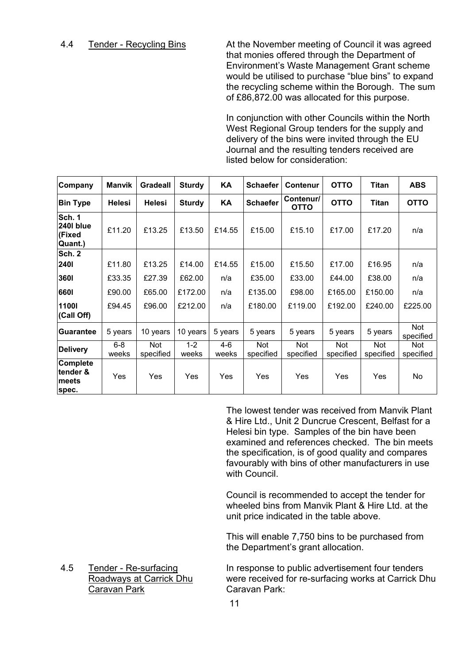4.4 Tender - Recycling Bins At the November meeting of Council it was agreed that monies offered through the Department of Environment's Waste Management Grant scheme would be utilised to purchase "blue bins" to expand the recycling scheme within the Borough. The sum of £86,872.00 was allocated for this purpose.

> In conjunction with other Councils within the North West Regional Group tenders for the supply and delivery of the bins were invited through the EU Journal and the resulting tenders received are listed below for consideration:

| Company                                         | <b>Manvik</b>    | <b>Gradeall</b>   | <b>Sturdy</b>    | ΚA               | <b>Schaefer</b>  | Contenur                 | <b>OTTO</b>      | Titan            | <b>ABS</b>              |
|-------------------------------------------------|------------------|-------------------|------------------|------------------|------------------|--------------------------|------------------|------------------|-------------------------|
| <b>Bin Type</b>                                 | <b>Helesi</b>    | <b>Helesi</b>     | <b>Sturdy</b>    | KA               | <b>Schaefer</b>  | Contenur/<br><b>OTTO</b> | <b>OTTO</b>      | Titan            | <b>OTTO</b>             |
| <b>Sch.</b> 1<br>2401 blue<br>(Fixed<br>Quant.) | £11.20           | £13.25            | £13.50           | £14.55           | £15.00           | £15.10                   | £17.00           | £17.20           | n/a                     |
| <b>Sch. 2</b>                                   |                  |                   |                  |                  |                  |                          |                  |                  |                         |
| 2401                                            | £11.80           | £13.25            | £14.00           | £14.55           | £15.00           | £15.50                   | £17.00           | £16.95           | n/a                     |
| 3601                                            | £33.35           | £27.39            | £62.00           | n/a              | £35.00           | £33.00                   | £44.00           | £38.00           | n/a                     |
| 6601                                            | £90.00           | £65.00            | £172.00          | n/a              | £135.00          | £98.00                   | £165.00          | £150.00          | n/a                     |
| 11001<br>(Call Off)                             | £94.45           | £96.00            | £212.00          | n/a              | £180.00          | £119.00                  | £192.00          | £240.00          | £225.00                 |
| <b>lGuarantee</b>                               | 5 years          | 10 years          | 10 years         | 5 years          | 5 years          | 5 years                  | 5 years          | 5 years          | Not<br>specified        |
| <b>Delivery</b>                                 | $6 - 8$<br>weeks | Not.<br>specified | $1 - 2$<br>weeks | $4 - 6$<br>weeks | Not<br>specified | Not<br>specified         | Not<br>specified | Not<br>specified | <b>Not</b><br>specified |
| Complete<br>tender &<br>meets<br>spec.          | Yes              | Yes               | Yes              | Yes              | Yes              | Yes                      | Yes              | Yes              | No                      |

The lowest tender was received from Manvik Plant & Hire Ltd., Unit 2 Duncrue Crescent, Belfast for a Helesi bin type. Samples of the bin have been examined and references checked. The bin meets the specification, is of good quality and compares favourably with bins of other manufacturers in use with Council

 Council is recommended to accept the tender for wheeled bins from Manvik Plant & Hire Ltd. at the unit price indicated in the table above.

This will enable 7,750 bins to be purchased from the Department's grant allocation.

4.5 Tender - Re-surfacing In response to public advertisement four tenders Roadways at Carrick Dhu were received for re-surfacing works at Carrick Dhu

Caravan Park Caravan Park: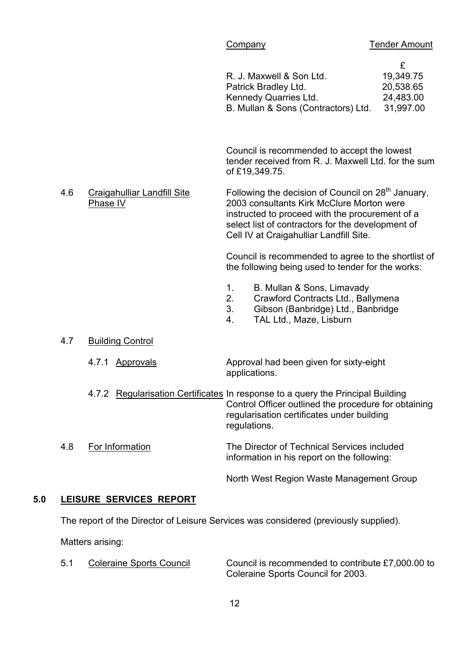| R. J. Maxwell & Son Ltd.            | 19,349.75 |
|-------------------------------------|-----------|
| Patrick Bradley Ltd.                | 20,538.65 |
| Kennedy Quarries Ltd.               | 24,483.00 |
| B. Mullan & Sons (Contractors) Ltd. | 31,997.00 |

Council is recommended to accept the lowest tender received from R. J. Maxwell Ltd. for the sum of £19,349.75.

4.6 Craigahulliar Landfill Site Following the decision of Council on 28<sup>th</sup> January,<br>Phase IV 2003 consultants Kirk McClure Morton were 2003 consultants Kirk McClure Morton were instructed to proceed with the procurement of a select list of contractors for the development of Cell IV at Craigahulliar Landfill Site.

> Council is recommended to agree to the shortlist of the following being used to tender for the works:

- 1. B. Mullan & Sons, Limavady
- 2. Crawford Contracts Ltd., Ballymena
- 3. Gibson (Banbridge) Ltd., Banbridge
- 4. TAL Ltd., Maze, Lisburn

- 4.7 Building Control
	- 4.7.1 Approvals Approval had been given for sixty-eight applications.
	- 4.7.2 Regularisation Certificates In response to a query the Principal Building Control Officer outlined the procedure for obtaining regularisation certificates under building regulations.
- 4.8 For Information The Director of Technical Services included information in his report on the following:

North West Region Waste Management Group

# **5.0 LEISURE SERVICES REPORT**

The report of the Director of Leisure Services was considered (previously supplied).

Matters arising:

5.1 Coleraine Sports Council Council is recommended to contribute £7,000.00 to Coleraine Sports Council for 2003.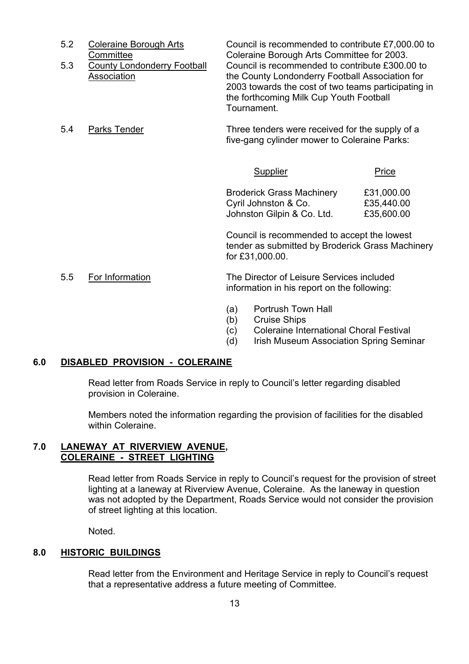| 5.2 | <b>Coleraine Borough Arts</b><br>Committee        | Council is recommended to contribute £7,000.00 to<br>Coleraine Borough Arts Committee for 2003.                                                                                                                     |       |
|-----|---------------------------------------------------|---------------------------------------------------------------------------------------------------------------------------------------------------------------------------------------------------------------------|-------|
| 5.3 | <b>County Londonderry Football</b><br>Association | Council is recommended to contribute £300,00 to<br>the County Londonderry Football Association for<br>2003 towards the cost of two teams participating in<br>the forthcoming Milk Cup Youth Football<br>Tournament. |       |
| 5.4 | Parks Tender                                      | Three tenders were received for the supply of a<br>five-gang cylinder mower to Coleraine Parks:                                                                                                                     |       |
|     |                                                   | Supplier                                                                                                                                                                                                            | Price |

Broderick Grass Machinery £31,000.00 Cyril Johnston & Co. <br>**£35,440.00** Johnston Gilpin & Co. Ltd. £35,600.00

Council is recommended to accept the lowest tender as submitted by Broderick Grass Machinery for £31,000.00.

 5.5 For Information The Director of Leisure Services included information in his report on the following:

- (a) Portrush Town Hall
- (b) Cruise Ships
- (c) Coleraine International Choral Festival
- (d) Irish Museum Association Spring Seminar

#### **6.0 DISABLED PROVISION - COLERAINE**

Read letter from Roads Service in reply to Council's letter regarding disabled provision in Coleraine.

Members noted the information regarding the provision of facilities for the disabled within Coleraine.

# **7.0 LANEWAY AT RIVERVIEW AVENUE, COLERAINE - STREET LIGHTING**

Read letter from Roads Service in reply to Council's request for the provision of street lighting at a laneway at Riverview Avenue, Coleraine. As the laneway in question was not adopted by the Department, Roads Service would not consider the provision of street lighting at this location.

Noted.

# **8.0 HISTORIC BUILDINGS**

Read letter from the Environment and Heritage Service in reply to Council's request that a representative address a future meeting of Committee.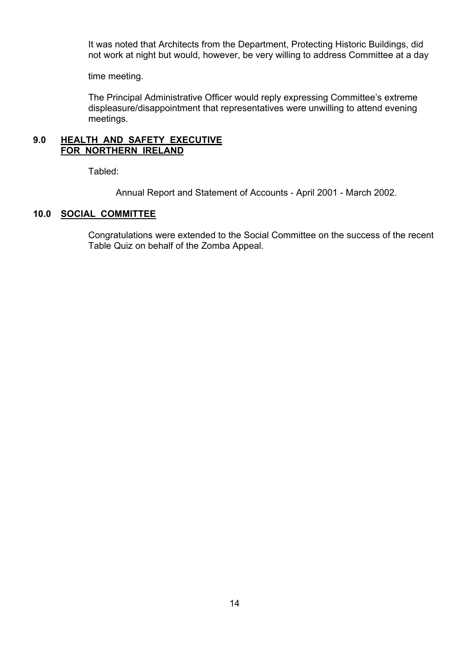It was noted that Architects from the Department, Protecting Historic Buildings, did not work at night but would, however, be very willing to address Committee at a day

time meeting.

The Principal Administrative Officer would reply expressing Committee's extreme displeasure/disappointment that representatives were unwilling to attend evening meetings.

#### **9.0 HEALTH AND SAFETY EXECUTIVE FOR NORTHERN IRELAND**

Tabled:

Annual Report and Statement of Accounts - April 2001 - March 2002.

# **10.0 SOCIAL COMMITTEE**

 Congratulations were extended to the Social Committee on the success of the recent Table Quiz on behalf of the Zomba Appeal.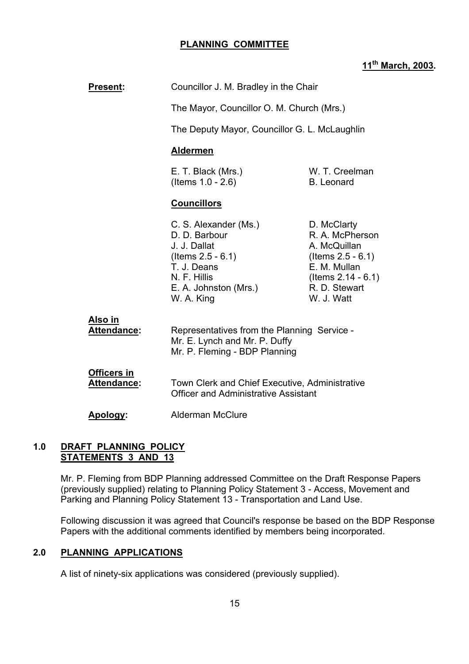# **PLANNING COMMITTEE**

# **11th March, 2003.**

| <b>Present:</b>                          | Councillor J. M. Bradley in the Chair                                                                                                                                                                                                                                                                  |  |
|------------------------------------------|--------------------------------------------------------------------------------------------------------------------------------------------------------------------------------------------------------------------------------------------------------------------------------------------------------|--|
|                                          | The Mayor, Councillor O. M. Church (Mrs.)                                                                                                                                                                                                                                                              |  |
|                                          | The Deputy Mayor, Councillor G. L. McLaughlin                                                                                                                                                                                                                                                          |  |
|                                          | <b>Aldermen</b>                                                                                                                                                                                                                                                                                        |  |
|                                          | W. T. Creelman<br>E. T. Black (Mrs.)<br>(Items $1.0 - 2.6$ )<br><b>B.</b> Leonard                                                                                                                                                                                                                      |  |
|                                          | <b>Councillors</b>                                                                                                                                                                                                                                                                                     |  |
|                                          | C. S. Alexander (Ms.)<br>D. McClarty<br>D. D. Barbour<br>R. A. McPherson<br>A. McQuillan<br>J. J. Dallat<br>(Items $2.5 - 6.1$ )<br>(Items $2.5 - 6.1$ )<br>E. M. Mullan<br>T. J. Deans<br>N. F. Hillis<br>(Items $2.14 - 6.1$ )<br>R. D. Stewart<br>E. A. Johnston (Mrs.)<br>W. J. Watt<br>W. A. King |  |
| <u>Also in</u><br><b>Attendance:</b>     | Representatives from the Planning Service -<br>Mr. E. Lynch and Mr. P. Duffy<br>Mr. P. Fleming - BDP Planning                                                                                                                                                                                          |  |
| <b>Officers in</b><br><b>Attendance:</b> | Town Clerk and Chief Executive, Administrative<br><b>Officer and Administrative Assistant</b>                                                                                                                                                                                                          |  |
| Apology:                                 | <b>Alderman McClure</b>                                                                                                                                                                                                                                                                                |  |
|                                          |                                                                                                                                                                                                                                                                                                        |  |

# **1.0 DRAFT PLANNING POLICY STATEMENTS 3 AND 13**

Mr. P. Fleming from BDP Planning addressed Committee on the Draft Response Papers (previously supplied) relating to Planning Policy Statement 3 - Access, Movement and Parking and Planning Policy Statement 13 - Transportation and Land Use.

Following discussion it was agreed that Council's response be based on the BDP Response Papers with the additional comments identified by members being incorporated.

# **2.0 PLANNING APPLICATIONS**

A list of ninety-six applications was considered (previously supplied).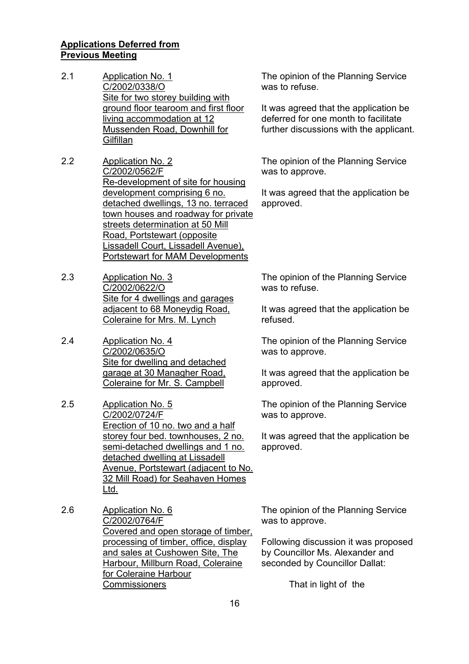#### **Applications Deferred from Previous Meeting**

- 2.1 Application No. 1 C/2002/0338/O Site for two storey building with ground floor tearoom and first floor living accommodation at 12 Mussenden Road, Downhill for **Gilfillan**
- 2.2 Application No. 2 C/2002/0562/F Re-development of site for housing development comprising 6 no. detached dwellings, 13 no. terraced town houses and roadway for private streets determination at 50 Mill Road, Portstewart (opposite Lissadell Court, Lissadell Avenue), Portstewart for MAM Developments
- 2.3 Application No. 3 C/2002/0622/O Site for 4 dwellings and garages adjacent to 68 Moneydig Road, Coleraine for Mrs. M. Lynch
- 2.4 Application No. 4 C/2002/0635/O Site for dwelling and detached garage at 30 Managher Road, Coleraine for Mr. S. Campbell
- 2.5 Application No. 5 C/2002/0724/F Erection of 10 no. two and a half storey four bed. townhouses, 2 no. semi-detached dwellings and 1 no. detached dwelling at Lissadell Avenue, Portstewart (adjacent to No. 32 Mill Road) for Seahaven Homes Ltd.
- 2.6 Application No. 6 C/2002/0764/F Covered and open storage of timber, processing of timber, office, display and sales at Cushowen Site, The Harbour, Millburn Road, Coleraine for Coleraine Harbour **Commissioners**

The opinion of the Planning Service was to refuse.

It was agreed that the application be deferred for one month to facilitate further discussions with the applicant.

The opinion of the Planning Service was to approve.

It was agreed that the application be approved.

The opinion of the Planning Service was to refuse.

It was agreed that the application be refused.

The opinion of the Planning Service was to approve.

It was agreed that the application be approved.

The opinion of the Planning Service was to approve.

It was agreed that the application be approved.

The opinion of the Planning Service was to approve.

Following discussion it was proposed by Councillor Ms. Alexander and seconded by Councillor Dallat:

That in light of the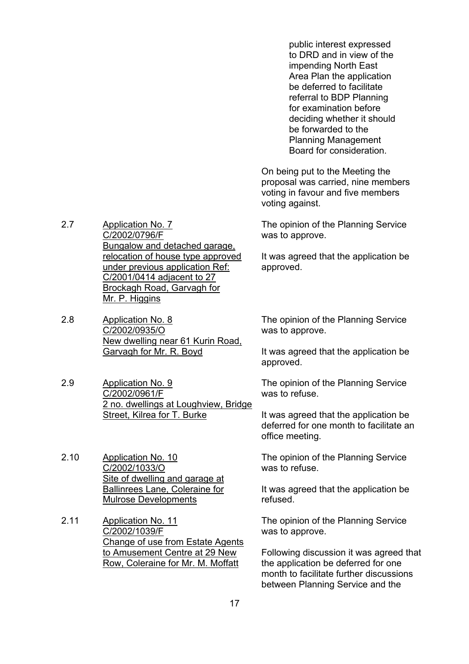public interest expressed to DRD and in view of the impending North East Area Plan the application be deferred to facilitate referral to BDP Planning for examination before deciding whether it should be forwarded to the Planning Management Board for consideration.

On being put to the Meeting the proposal was carried, nine members voting in favour and five members voting against.

The opinion of the Planning Service was to approve.

It was agreed that the application be approved.

The opinion of the Planning Service was to approve.

It was agreed that the application be approved.

The opinion of the Planning Service was to refuse.

It was agreed that the application be deferred for one month to facilitate an office meeting.

The opinion of the Planning Service was to refuse.

It was agreed that the application be refused.

The opinion of the Planning Service was to approve.

Following discussion it was agreed that the application be deferred for one month to facilitate further discussions between Planning Service and the

2.7 Application No. 7 C/2002/0796/F Bungalow and detached garage, relocation of house type approved under previous application Ref: C/2001/0414 adjacent to 27 Brockagh Road, Garvagh for Mr. P. Higgins

2.8 Application No. 8 C/2002/0935/O New dwelling near 61 Kurin Road, Garvagh for Mr. R. Boyd

2.9 Application No. 9 C/2002/0961/F 2 no. dwellings at Loughview, Bridge Street, Kilrea for T. Burke

2.10 Application No. 10 C/2002/1033/O Site of dwelling and garage at Ballinrees Lane, Coleraine for Mulrose Developments

2.11 Application No. 11 C/2002/1039/F Change of use from Estate Agents to Amusement Centre at 29 New Row, Coleraine for Mr. M. Moffatt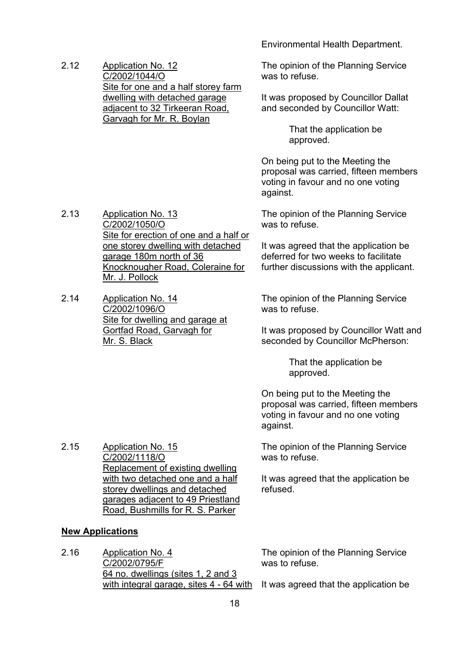Environmental Health Department.

2.12 Application No. 12 C/2002/1044/O Site for one and a half storey farm dwelling with detached garage adjacent to 32 Tirkeeran Road, Garvagh for Mr. R. Boylan

The opinion of the Planning Service was to refuse.

It was proposed by Councillor Dallat and seconded by Councillor Watt:

> That the application be approved.

On being put to the Meeting the proposal was carried, fifteen members voting in favour and no one voting against.

The opinion of the Planning Service was to refuse.

It was agreed that the application be deferred for two weeks to facilitate further discussions with the applicant.

The opinion of the Planning Service was to refuse.

It was proposed by Councillor Watt and seconded by Councillor McPherson:

> That the application be approved.

On being put to the Meeting the proposal was carried, fifteen members voting in favour and no one voting against.

The opinion of the Planning Service was to refuse.

It was agreed that the application be refused.

- 2.13 Application No. 13 C/2002/1050/O Site for erection of one and a half or one storey dwelling with detached garage 180m north of 36 Knocknougher Road, Coleraine for Mr. J. Pollock
- 2.14 Application No. 14 C/2002/1096/O Site for dwelling and garage at Gortfad Road, Garvagh for Mr. S. Black

2.15 Application No. 15 C/2002/1118/O Replacement of existing dwelling with two detached one and a half storey dwellings and detached garages adjacent to 49 Priestland Road, Bushmills for R. S. Parker

#### **New Applications**

2.16 Application No. 4 C/2002/0795/F 64 no. dwellings (sites 1, 2 and 3 with integral garage, sites 4 - 64 with It was agreed that the application be

The opinion of the Planning Service was to refuse.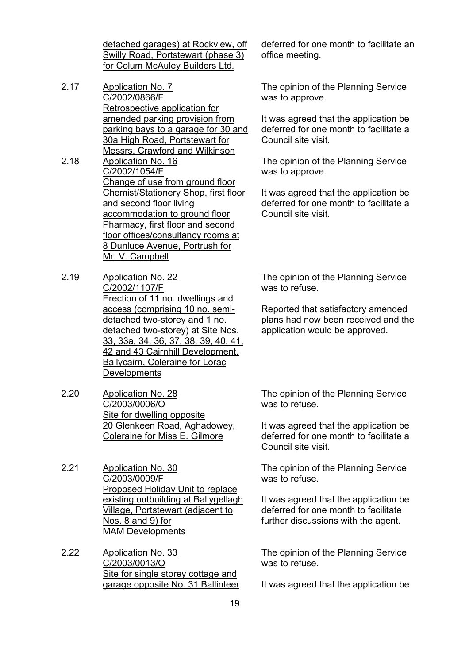detached garages) at Rockview, off Swilly Road, Portstewart (phase 3) for Colum McAuley Builders Ltd.

- 2.17 Application No. 7 C/2002/0866/F Retrospective application for amended parking provision from parking bays to a garage for 30 and 30a High Road, Portstewart for Messrs. Crawford and Wilkinson
- 2.18 Application No. 16 C/2002/1054/F Change of use from ground floor Chemist/Stationery Shop, first floor and second floor living accommodation to ground floor Pharmacy, first floor and second floor offices/consultancy rooms at 8 Dunluce Avenue, Portrush for Mr. V. Campbell
- 2.19 Application No. 22 C/2002/1107/F Erection of 11 no. dwellings and access (comprising 10 no. semidetached two-storey and 1 no. detached two-storey) at Site Nos. 33, 33a, 34, 36, 37, 38, 39, 40, 41, 42 and 43 Cairnhill Development, Ballycairn, Coleraine for Lorac **Developments**
- 2.20 Application No. 28 C/2003/0006/O Site for dwelling opposite 20 Glenkeen Road, Aghadowey, Coleraine for Miss E. Gilmore
- 2.21 Application No. 30 C/2003/0009/F Proposed Holiday Unit to replace existing outbuilding at Ballygellagh Village, Portstewart (adjacent to Nos. 8 and 9) for MAM Developments
- 2.22 Application No. 33 C/2003/0013/O Site for single storey cottage and garage opposite No. 31 Ballinteer

deferred for one month to facilitate an office meeting.

The opinion of the Planning Service was to approve.

It was agreed that the application be deferred for one month to facilitate a Council site visit.

The opinion of the Planning Service was to approve.

It was agreed that the application be deferred for one month to facilitate a Council site visit.

The opinion of the Planning Service was to refuse.

Reported that satisfactory amended plans had now been received and the application would be approved.

The opinion of the Planning Service was to refuse.

It was agreed that the application be deferred for one month to facilitate a Council site visit.

The opinion of the Planning Service was to refuse.

It was agreed that the application be deferred for one month to facilitate further discussions with the agent.

The opinion of the Planning Service was to refuse.

It was agreed that the application be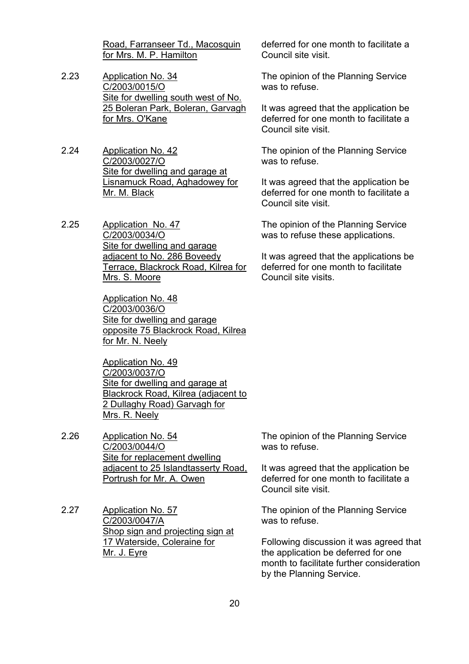Road, Farranseer Td., Macosquin for Mrs. M. P. Hamilton

- 2.23 Application No. 34 C/2003/0015/O Site for dwelling south west of No. 25 Boleran Park, Boleran, Garvagh for Mrs. O'Kane
- 2.24 Application No. 42 C/2003/0027/O Site for dwelling and garage at Lisnamuck Road, Aghadowey for Mr. M. Black
- 2.25 Application No. 47 C/2003/0034/O Site for dwelling and garage adjacent to No. 286 Boveedy Terrace, Blackrock Road, Kilrea for Mrs. S. Moore

Application No. 48 C/2003/0036/O Site for dwelling and garage opposite 75 Blackrock Road, Kilrea for Mr. N. Neely

Application No. 49 C/2003/0037/O Site for dwelling and garage at Blackrock Road, Kilrea (adjacent to 2 Dullaghy Road) Garvagh for Mrs. R. Neely

- 2.26 Application No. 54 C/2003/0044/O Site for replacement dwelling adjacent to 25 Islandtasserty Road, Portrush for Mr. A. Owen
- 2.27 Application No. 57 C/2003/0047/A Shop sign and projecting sign at 17 Waterside, Coleraine for Mr. J. Eyre

deferred for one month to facilitate a Council site visit.

The opinion of the Planning Service was to refuse.

It was agreed that the application be deferred for one month to facilitate a Council site visit.

The opinion of the Planning Service was to refuse.

It was agreed that the application be deferred for one month to facilitate a Council site visit.

The opinion of the Planning Service was to refuse these applications.

It was agreed that the applications be deferred for one month to facilitate Council site visits.

The opinion of the Planning Service was to refuse.

It was agreed that the application be deferred for one month to facilitate a Council site visit.

The opinion of the Planning Service was to refuse.

Following discussion it was agreed that the application be deferred for one month to facilitate further consideration by the Planning Service.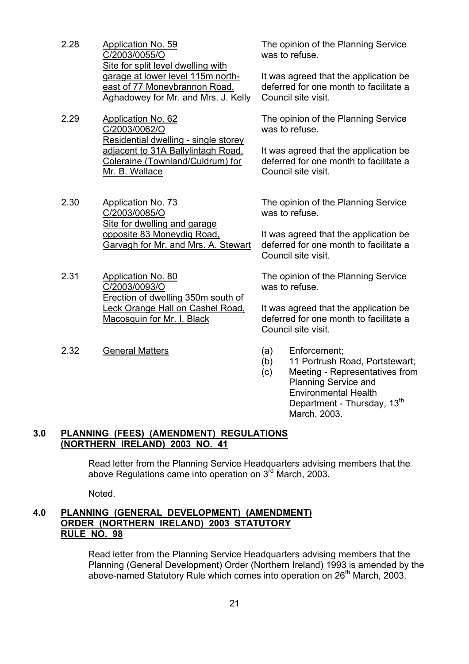- 2.28 Application No. 59 C/2003/0055/O Site for split level dwelling with garage at lower level 115m northeast of 77 Moneybrannon Road, Aghadowey for Mr. and Mrs. J. Kelly
- 2.29 Application No. 62 C/2003/0062/O Residential dwelling - single storey adjacent to 31A Ballylintagh Road, Coleraine (Townland/Culdrum) for Mr. B. Wallace
- 2.30 Application No. 73 C/2003/0085/O Site for dwelling and garage opposite 83 Moneydig Road, Garvagh for Mr. and Mrs. A. Stewart
- 2.31 Application No. 80 C/2003/0093/O Erection of dwelling 350m south of Leck Orange Hall on Cashel Road, Macosquin for Mr. I. Black
- 2.32 General Matters (a) Enforcement;

The opinion of the Planning Service was to refuse.

It was agreed that the application be deferred for one month to facilitate a Council site visit.

The opinion of the Planning Service was to refuse.

It was agreed that the application be deferred for one month to facilitate a Council site visit.

The opinion of the Planning Service was to refuse.

It was agreed that the application be deferred for one month to facilitate a Council site visit.

The opinion of the Planning Service was to refuse.

It was agreed that the application be deferred for one month to facilitate a Council site visit.

- 
- (b) 11 Portrush Road, Portstewart;
- (c) Meeting Representatives from Planning Service and Environmental Health Department - Thursday, 13<sup>th</sup> March, 2003.

#### **3.0 PLANNING (FEES) (AMENDMENT) REGULATIONS (NORTHERN IRELAND) 2003 NO. 41**

Read letter from the Planning Service Headquarters advising members that the above Regulations came into operation on  $3<sup>rd</sup>$  March, 2003.

Noted.

# **4.0 PLANNING (GENERAL DEVELOPMENT) (AMENDMENT) ORDER (NORTHERN IRELAND) 2003 STATUTORY RULE NO. 98**

 Read letter from the Planning Service Headquarters advising members that the Planning (General Development) Order (Northern Ireland) 1993 is amended by the above-named Statutory Rule which comes into operation on 26<sup>th</sup> March, 2003.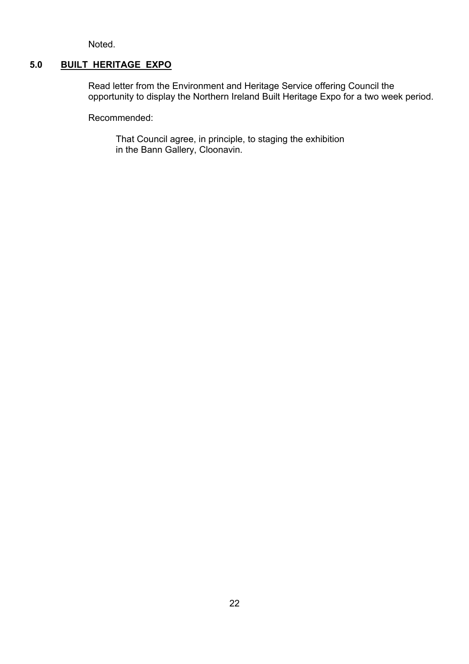Noted.

# **5.0 BUILT HERITAGE EXPO**

Read letter from the Environment and Heritage Service offering Council the opportunity to display the Northern Ireland Built Heritage Expo for a two week period.

Recommended:

 That Council agree, in principle, to staging the exhibition in the Bann Gallery, Cloonavin.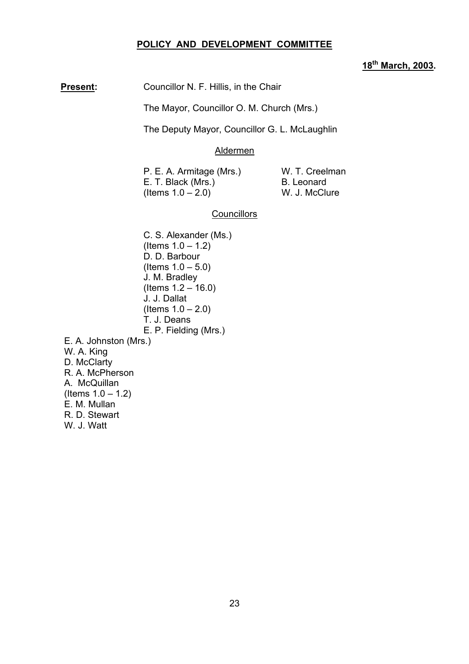#### **POLICY AND DEVELOPMENT COMMITTEE**

# **18th March, 2003.**

**Present:** Councillor N. F. Hillis, in the Chair

The Mayor, Councillor O. M. Church (Mrs.)

The Deputy Mayor, Councillor G. L. McLaughlin

#### Aldermen

P. E. A. Armitage (Mrs.) W. T. Creelman E. T. Black (Mrs.) B. Leonard  $($  Items  $1.0 - 2.0)$  W. J. McClure

# **Councillors**

C. S. Alexander (Ms.)  $($  ltems  $1.0 - 1.2)$ D. D. Barbour  $($  Items  $1.0 - 5.0)$ J. M. Bradley  $($  Items  $1.2 - 16.0)$ J. J. Dallat  $($  Items  $1.0 - 2.0)$ T. J. Deans E. P. Fielding (Mrs.) E. A. Johnston (Mrs.) W. A. King D. McClarty R. A. McPherson A. McQuillan  $($  Items  $1.0 - 1.2)$ E. M. Mullan R. D. Stewart W. J. Watt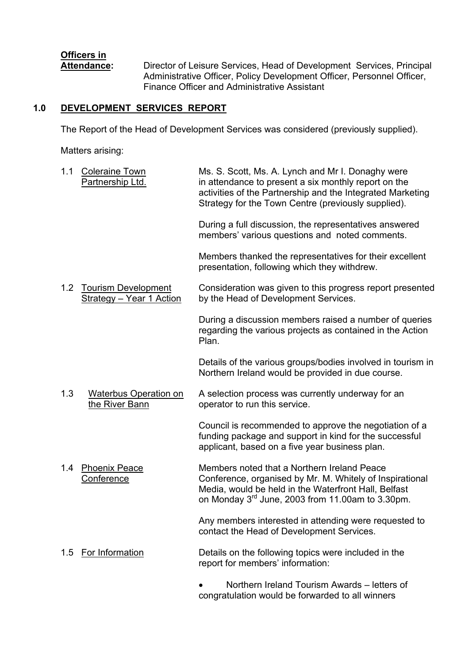# **Officers in**

 **Attendance:** Director of Leisure Services, Head of Development Services, Principal Administrative Officer, Policy Development Officer, Personnel Officer, Finance Officer and Administrative Assistant

# **1.0 DEVELOPMENT SERVICES REPORT**

The Report of the Head of Development Services was considered (previously supplied).

Matters arising:

1.1 Coleraine Town Ms. S. Scott, Ms. A. Lynch and Mr I. Donaghy were Partnership Ltd. in attendance to present a six monthly report on the activities of the Partnership and the Integrated Marketing Strategy for the Town Centre (previously supplied). During a full discussion, the representatives answered members' various questions and noted comments. Members thanked the representatives for their excellent presentation, following which they withdrew. 1.2 Tourism Development Consideration was given to this progress report presented Strategy – Year 1 Action by the Head of Development Services. During a discussion members raised a number of queries regarding the various projects as contained in the Action<br>Plan. **Plan.** Plan. Details of the various groups/bodies involved in tourism in Northern Ireland would be provided in due course. 1.3 Waterbus Operation on A selection process was currently underway for an the River Bann operator to run this service. Council is recommended to approve the negotiation of a funding package and support in kind for the successful applicant, based on a five year business plan. 1.4 Phoenix Peace Members noted that a Northern Ireland Peace Conference Conference, organised by Mr. M. Whitely of Inspirational Media, would be held in the Waterfront Hall, Belfast on Monday 3rd June, 2003 from 11.00am to 3.30pm. Any members interested in attending were requested to contact the Head of Development Services. 1.5 For Information Details on the following topics were included in the report for members' information: Northern Ireland Tourism Awards – letters of

congratulation would be forwarded to all winners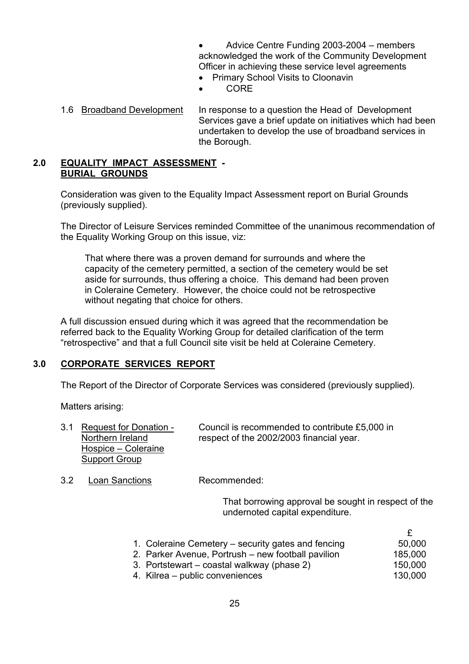Advice Centre Funding 2003-2004 – members acknowledged the work of the Community Development Officer in achieving these service level agreements

- Primary School Visits to Cloonavin
- CORE
- 1.6 Broadband Development In response to a question the Head of Development Services gave a brief update on initiatives which had been undertaken to develop the use of broadband services in the Borough.

# **2.0 EQUALITY IMPACT ASSESSMENT - BURIAL GROUNDS**

Consideration was given to the Equality Impact Assessment report on Burial Grounds (previously supplied).

The Director of Leisure Services reminded Committee of the unanimous recommendation of the Equality Working Group on this issue, viz:

That where there was a proven demand for surrounds and where the capacity of the cemetery permitted, a section of the cemetery would be set aside for surrounds, thus offering a choice. This demand had been proven in Coleraine Cemetery. However, the choice could not be retrospective without negating that choice for others.

A full discussion ensued during which it was agreed that the recommendation be referred back to the Equality Working Group for detailed clarification of the term ìretrospectiveî and that a full Council site visit be held at Coleraine Cemetery.

# **3.0 CORPORATE SERVICES REPORT**

The Report of the Director of Corporate Services was considered (previously supplied).

Matters arising:

|                     | Council is recommended to contribute £5,000 in |
|---------------------|------------------------------------------------|
| Northern Ireland    | respect of the 2002/2003 financial year.       |
| Hospice – Coleraine |                                                |
| Support Group       |                                                |
|                     | 3.1 Request for Donation -                     |

3.2 Loan Sanctions Recommended:

That borrowing approval be sought in respect of the undernoted capital expenditure.

| 1. Coleraine Cemetery – security gates and fencing | 50,000  |
|----------------------------------------------------|---------|
| 2. Parker Avenue, Portrush – new football pavilion | 185,000 |
| 3. Portstewart – coastal walkway (phase 2)         | 150,000 |
| 4. Kilrea – public conveniences                    | 130,000 |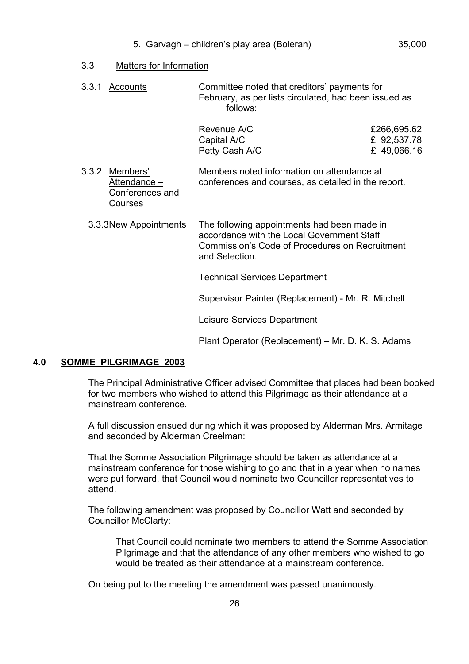- 5. Garvagh children's play area (Boleran) 35,000
- 3.3 Matters for Information

 3.3.1 Accounts Committee noted that creditorsí payments for February, as per lists circulated, had been issued as follows:

| Revenue A/C    | £266,695.62 |
|----------------|-------------|
| Capital A/C    | £ 92,537.78 |
| Petty Cash A/C | £49,066.16  |

3.3.2 Members' Members noted information on attendance at Attendance  $-\qquad$  conferences and courses, as detailed in the report. Conferences and Courses

3.3.3 New Appointments The following appointments had been made in accordance with the Local Government Staff Commission's Code of Procedures on Recruitment and Selection.

Technical Services Department

Supervisor Painter (Replacement) - Mr. R. Mitchell

Leisure Services Department

Plant Operator (Replacement) – Mr. D. K. S. Adams

# **4.0 SOMME PILGRIMAGE 2003**

The Principal Administrative Officer advised Committee that places had been booked for two members who wished to attend this Pilgrimage as their attendance at a mainstream conference.

A full discussion ensued during which it was proposed by Alderman Mrs. Armitage and seconded by Alderman Creelman:

That the Somme Association Pilgrimage should be taken as attendance at a mainstream conference for those wishing to go and that in a year when no names were put forward, that Council would nominate two Councillor representatives to attend.

The following amendment was proposed by Councillor Watt and seconded by Councillor McClarty:

 That Council could nominate two members to attend the Somme Association Pilgrimage and that the attendance of any other members who wished to go would be treated as their attendance at a mainstream conference.

On being put to the meeting the amendment was passed unanimously.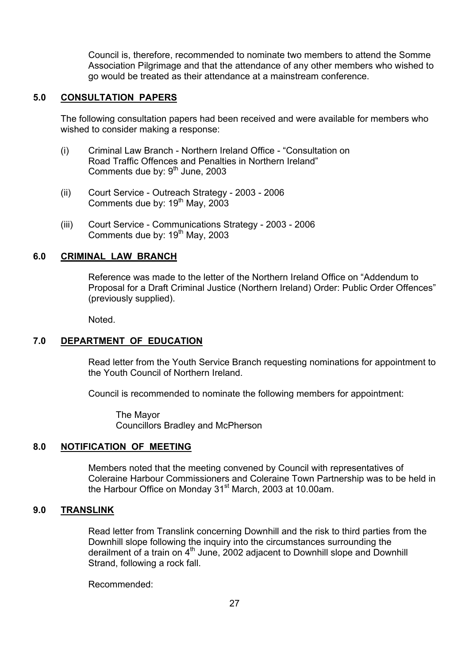Council is, therefore, recommended to nominate two members to attend the Somme Association Pilgrimage and that the attendance of any other members who wished to go would be treated as their attendance at a mainstream conference.

#### **5.0 CONSULTATION PAPERS**

The following consultation papers had been received and were available for members who wished to consider making a response:

- (i) Criminal Law Branch Northern Ireland Office "Consultation on Road Traffic Offences and Penalties in Northern Ireland" Comments due by: 9<sup>th</sup> June, 2003
- (ii) Court Service Outreach Strategy 2003 2006 Comments due by:  $19<sup>th</sup>$  May, 2003
- (iii) Court Service Communications Strategy 2003 2006 Comments due by: 19th May, 2003

#### **6.0 CRIMINAL LAW BRANCH**

Reference was made to the letter of the Northern Ireland Office on "Addendum to Proposal for a Draft Criminal Justice (Northern Ireland) Order: Public Order Offences" (previously supplied).

Noted.

#### **7.0 DEPARTMENT OF EDUCATION**

 Read letter from the Youth Service Branch requesting nominations for appointment to the Youth Council of Northern Ireland.

Council is recommended to nominate the following members for appointment:

 The Mayor Councillors Bradley and McPherson

#### **8.0 NOTIFICATION OF MEETING**

 Members noted that the meeting convened by Council with representatives of Coleraine Harbour Commissioners and Coleraine Town Partnership was to be held in the Harbour Office on Monday 31<sup>st</sup> March, 2003 at 10.00am.

# **9.0 TRANSLINK**

 Read letter from Translink concerning Downhill and the risk to third parties from the Downhill slope following the inquiry into the circumstances surrounding the derailment of a train on  $4<sup>th</sup>$  June, 2002 adjacent to Downhill slope and Downhill Strand, following a rock fall.

Recommended: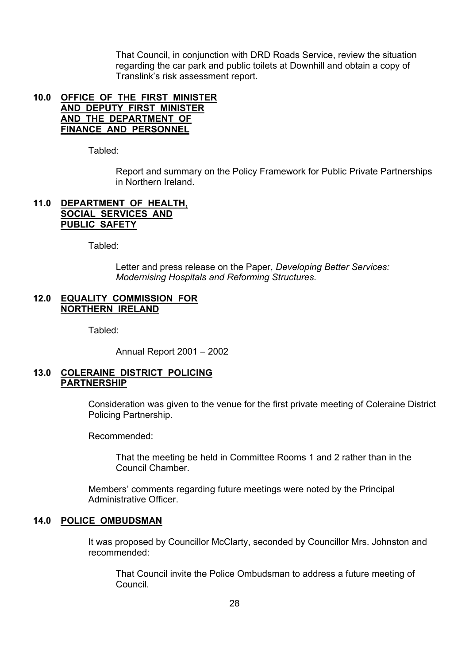That Council, in conjunction with DRD Roads Service, review the situation regarding the car park and public toilets at Downhill and obtain a copy of Translinkís risk assessment report.

#### **10.0 OFFICE OF THE FIRST MINISTER AND DEPUTY FIRST MINISTER AND THE DEPARTMENT OF FINANCE AND PERSONNEL**

Tabled:

 Report and summary on the Policy Framework for Public Private Partnerships in Northern Ireland.

# **11.0 DEPARTMENT OF HEALTH, SOCIAL SERVICES AND PUBLIC SAFETY**

Tabled:

 Letter and press release on the Paper, *Developing Better Services: Modernising Hospitals and Reforming Structures.* 

# **12.0 EQUALITY COMMISSION FOR NORTHERN IRELAND**

Tabled:

Annual Report  $2001 - 2002$ 

#### **13.0 COLERAINE DISTRICT POLICING PARTNERSHIP**

 Consideration was given to the venue for the first private meeting of Coleraine District Policing Partnership.

Recommended:

 That the meeting be held in Committee Rooms 1 and 2 rather than in the Council Chamber.

Members' comments regarding future meetings were noted by the Principal Administrative Officer.

#### **14.0 POLICE OMBUDSMAN**

It was proposed by Councillor McClarty, seconded by Councillor Mrs. Johnston and recommended:

 That Council invite the Police Ombudsman to address a future meeting of Council.